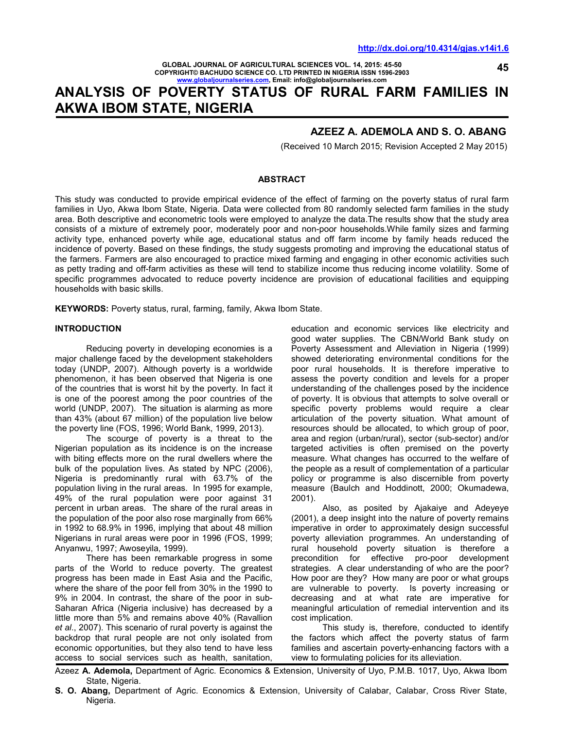**45** 

**GLOBAL JOURNAL OF AGRICULTURAL SCIENCES VOL. 14, 2015: 45-50 COPYRIGHT© BACHUDO SCIENCE CO. LTD PRINTED IN NIGERIA ISSN 1596-2903 www.globaljournalseries.com, Email: info@globaljournalseries.com**

# **ANALYSIS OF POVERTY STATUS OF RURAL FARM FAMILIES IN AKWA IBOM STATE, NIGERIA**

# **AZEEZ A. ADEMOLA AND S. O. ABANG**

(Received 10 March 2015; Revision Accepted 2 May 2015)

#### **ABSTRACT**

This study was conducted to provide empirical evidence of the effect of farming on the poverty status of rural farm families in Uyo, Akwa Ibom State, Nigeria. Data were collected from 80 randomly selected farm families in the study area. Both descriptive and econometric tools were employed to analyze the data.The results show that the study area consists of a mixture of extremely poor, moderately poor and non-poor households.While family sizes and farming activity type, enhanced poverty while age, educational status and off farm income by family heads reduced the incidence of poverty. Based on these findings, the study suggests promoting and improving the educational status of the farmers. Farmers are also encouraged to practice mixed farming and engaging in other economic activities such as petty trading and off-farm activities as these will tend to stabilize income thus reducing income volatility. Some of specific programmes advocated to reduce poverty incidence are provision of educational facilities and equipping households with basic skills.

**KEYWORDS:** Poverty status, rural, farming, family, Akwa Ibom State.

#### **INTRODUCTION**

 Reducing poverty in developing economies is a major challenge faced by the development stakeholders today (UNDP, 2007). Although poverty is a worldwide phenomenon, it has been observed that Nigeria is one of the countries that is worst hit by the poverty. In fact it is one of the poorest among the poor countries of the world (UNDP, 2007). The situation is alarming as more than 43% (about 67 million) of the population live below the poverty line (FOS, 1996; World Bank, 1999, 2013).

 The scourge of poverty is a threat to the Nigerian population as its incidence is on the increase with biting effects more on the rural dwellers where the bulk of the population lives. As stated by NPC (2006), Nigeria is predominantly rural with 63.7% of the population living in the rural areas. In 1995 for example, 49% of the rural population were poor against 31 percent in urban areas. The share of the rural areas in the population of the poor also rose marginally from 66% in 1992 to 68.9% in 1996, implying that about 48 million Nigerians in rural areas were poor in 1996 (FOS, 1999; Anyanwu, 1997; Awoseyila, 1999).

 There has been remarkable progress in some parts of the World to reduce poverty. The greatest progress has been made in East Asia and the Pacific, where the share of the poor fell from 30% in the 1990 to 9% in 2004. In contrast, the share of the poor in sub-Saharan Africa (Nigeria inclusive) has decreased by a little more than 5% and remains above 40% (Ravallion *et al*., 2007). This scenario of rural poverty is against the backdrop that rural people are not only isolated from economic opportunities, but they also tend to have less access to social services such as health, sanitation,

education and economic services like electricity and good water supplies. The CBN/World Bank study on Poverty Assessment and Alleviation in Nigeria (1999) showed deteriorating environmental conditions for the poor rural households. It is therefore imperative to assess the poverty condition and levels for a proper understanding of the challenges posed by the incidence of poverty. It is obvious that attempts to solve overall or specific poverty problems would require a clear articulation of the poverty situation. What amount of resources should be allocated, to which group of poor, area and region (urban/rural), sector (sub-sector) and/or targeted activities is often premised on the poverty measure. What changes has occurred to the welfare of the people as a result of complementation of a particular policy or programme is also discernible from poverty measure (Baulch and Hoddinott, 2000; Okumadewa, 2001).

 Also, as posited by Ajakaiye and Adeyeye (2001), a deep insight into the nature of poverty remains imperative in order to approximately design successful poverty alleviation programmes. An understanding of rural household poverty situation is therefore a precondition for effective pro-poor development strategies. A clear understanding of who are the poor? How poor are they? How many are poor or what groups are vulnerable to poverty. Is poverty increasing or decreasing and at what rate are imperative for meaningful articulation of remedial intervention and its cost implication.

 This study is, therefore, conducted to identify the factors which affect the poverty status of farm families and ascertain poverty-enhancing factors with a view to formulating policies for its alleviation.

Azeez **A. Ademola,** Department of Agric. Economics & Extension, University of Uyo, P.M.B. 1017, Uyo, Akwa Ibom State, Nigeria.

**S. O. Abang,** Department of Agric. Economics & Extension, University of Calabar, Calabar, Cross River State, Nigeria.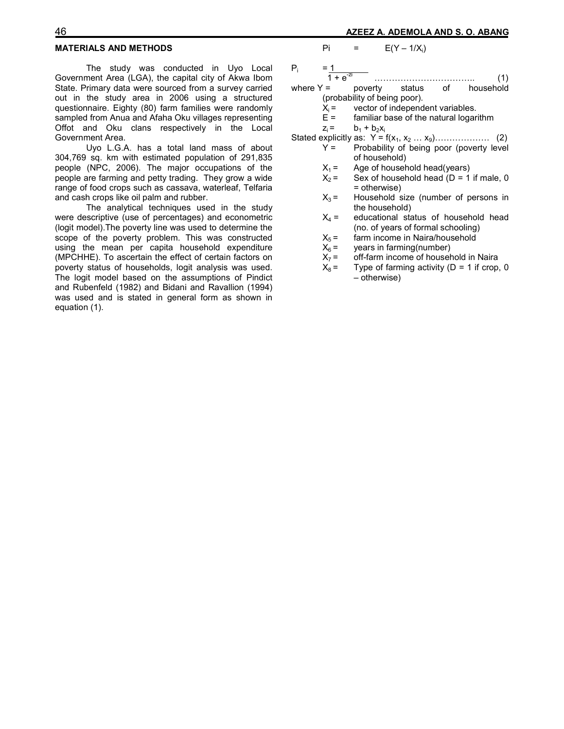The study was conducted in Uyo Local Government Area (LGA), the capital city of Akwa Ibom State. Primary data were sourced from a survey carried out in the study area in 2006 using a structured questionnaire. Eighty (80) farm families were randomly sampled from Anua and Afaha Oku villages representing Offot and Oku clans respectively in the Local Government Area.

 Uyo L.G.A. has a total land mass of about 304,769 sq. km with estimated population of 291,835 people (NPC, 2006). The major occupations of the people are farming and petty trading. They grow a wide range of food crops such as cassava, waterleaf, Telfaria and cash crops like oil palm and rubber.

 The analytical techniques used in the study were descriptive (use of percentages) and econometric (logit model).The poverty line was used to determine the scope of the poverty problem. This was constructed using the mean per capita household expenditure (MPCHHE). To ascertain the effect of certain factors on poverty status of households, logit analysis was used. The logit model based on the assumptions of Pindict and Rubenfeld (1982) and Bidani and Ravallion (1994) was used and is stated in general form as shown in equation (1).

### Pi =  $E(Y - 1/X_i)$

- Pi  $= 1$
- $1 + e^{-zi}$  .....<br>= poverty …………………………….. (1) where  $Y =$  poverty status of household
	- (probability of being poor).
		- $X_i$  = vector of independent variables.<br>E = familiar base of the natural logar
		- familiar base of the natural logarithm
		- $z_i =$   $b_1 + b_2x_i$
- Stated explicitly as: Y = f(x1, x2 … x9)………………. (2) Probability of being poor (poverty level of household)
	-
	- $X_1 =$  Age of household head(years)<br> $X_2 =$  Sex of household head (D = 1) Sex of household head ( $D = 1$  if male, 0  $X_3$  =  $\qquad$  = otherwise)<br> $X_3$  =  $\qquad$  Household s
	- Household size (number of persons in the household)
	- $X_4$  = educational status of household head (no. of years of formal schooling)<br> $X_5 =$  farm income in Naira/household
	- $X_5$  = farm income in Naira/household<br> $X_6$  = years in farming(number)
	- $X_6$  = years in farming(number)<br> $X_7$  = off-farm income of houser
	- $X_7$  = off-farm income of household in Naira<br> $X_8$  = Type of farming activity (D = 1 if crop,
	- Type of farming activity ( $D = 1$  if crop, 0 – otherwise)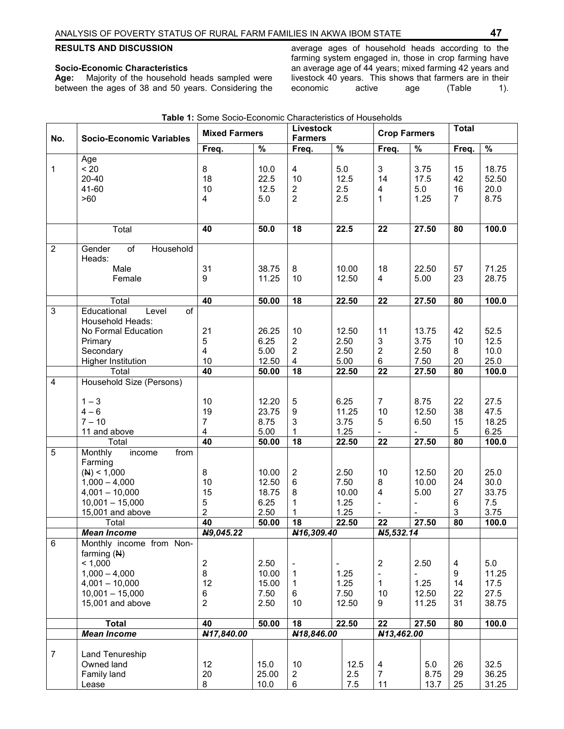# **RESULTS AND DISCUSSION**

#### **Socio-Economic Characteristics**

**Age:** Majority of the household heads sampled were between the ages of 38 and 50 years. Considering the average ages of household heads according to the farming system engaged in, those in crop farming have an average age of 44 years; mixed farming 42 years and livestock 40 years. This shows that farmers are in their economic active age (Table 1).

|                | <b>Socio-Economic Variables</b>          | <b>Mixed Farmers</b> |                   | Livestock<br><b>Farmers</b> |                          | <b>Crop Farmers</b> |                           | <b>Total</b> |                         |       |
|----------------|------------------------------------------|----------------------|-------------------|-----------------------------|--------------------------|---------------------|---------------------------|--------------|-------------------------|-------|
| No.            |                                          | Freq.                | %                 | Freq.                       | $\frac{9}{6}$            |                     | Freq.                     | $\%$         | Freq.                   | $\%$  |
|                | Age                                      |                      |                   |                             |                          |                     |                           |              |                         |       |
| 1              | < 20                                     | 8                    | 10.0              | 4                           | 5.0                      |                     | $\mathfrak{B}$            | 3.75         | 15                      | 18.75 |
|                | $20 - 40$                                | 18                   | 22.5              | 10                          |                          | 12.5                | 14                        | 17.5         | 42                      | 52.50 |
|                | 41-60                                    | 10                   | 12.5              | $\overline{2}$              | 2.5                      |                     | 4                         | 5.0          | 16                      | 20.0  |
|                | >60                                      | 4                    | 5.0               | $\overline{2}$              | 2.5                      |                     | $\mathbf{1}$              | 1.25         | $\overline{7}$          | 8.75  |
|                |                                          |                      |                   |                             |                          |                     |                           |              |                         |       |
|                |                                          |                      |                   |                             |                          |                     |                           |              |                         |       |
|                | Total                                    | 40                   | $\overline{50.0}$ | $\overline{18}$             |                          | 22.5                | 22                        | 27.50        | 80                      | 100.0 |
| $\overline{2}$ | of<br>Household<br>Gender                |                      |                   |                             |                          |                     |                           |              |                         |       |
|                | Heads:                                   |                      |                   |                             |                          |                     |                           |              |                         |       |
|                | Male                                     | 31                   | 38.75             | 8                           |                          | 10.00               | 18                        | 22.50        | 57                      | 71.25 |
|                | Female                                   | 9                    | 11.25             | 10                          |                          | 12.50               | 4                         | 5.00         | 23                      | 28.75 |
|                |                                          |                      |                   |                             |                          |                     |                           |              |                         |       |
|                | Total<br>$\overline{of}$                 | 40                   | 50.00             | 18                          |                          | 22.50               | 22                        | 27.50        | 80                      | 100.0 |
| 3              | Educational<br>Level<br>Household Heads: |                      |                   |                             |                          |                     |                           |              |                         |       |
|                | No Formal Education                      | 21                   | 26.25             | 10                          |                          | 12.50               | 11                        | 13.75        | 42                      | 52.5  |
|                |                                          |                      | 6.25              | $\overline{2}$              |                          | 2.50                | $\ensuremath{\mathsf{3}}$ | 3.75         | 10                      | 12.5  |
|                | Primary<br>Secondary                     | 5<br>4               | 5.00              | $\overline{2}$              |                          | 2.50                | $\overline{2}$            | 2.50         | 8                       | 10.0  |
|                |                                          | 10                   |                   | $\overline{\mathbf{4}}$     |                          | 5.00                | $\,6$                     | 7.50         | 20                      | 25.0  |
|                | <b>Higher Institution</b><br>Total       | 40                   | 12.50<br>50.00    | $\overline{18}$             |                          | 22.50               | $\overline{22}$           | 27.50        | 80                      | 100.0 |
| $\overline{4}$ | Household Size (Persons)                 |                      |                   |                             |                          |                     |                           |              |                         |       |
|                |                                          |                      |                   |                             |                          |                     |                           |              |                         |       |
|                | $1 - 3$                                  | 10                   | 12.20             | 5                           |                          | 6.25                | $\overline{7}$            | 8.75         | 22                      | 27.5  |
|                | $4 - 6$                                  | 19                   | 23.75             | $\boldsymbol{9}$            |                          | 11.25               | 10                        | 12.50        | 38                      | 47.5  |
|                | $7 - 10$                                 | 7                    | 8.75              | 3                           |                          | 3.75                | 5                         | 6.50         | 15                      | 18.25 |
|                | 11 and above                             | $\overline{4}$       | 5.00              | 1                           |                          | 1.25                |                           |              | $5\phantom{.0}$         | 6.25  |
|                | Total                                    | 40                   | 50.00             | 18                          |                          | 22.50               | $\overline{22}$           | 27.50        | 80                      | 100.0 |
| 5              | Monthly<br>from<br>income                |                      |                   |                             |                          |                     |                           |              |                         |       |
|                | Farming                                  |                      |                   |                             |                          |                     |                           |              |                         |       |
|                | (M) < 1,000                              | 8                    | 10.00             | $\sqrt{2}$                  |                          | 2.50                | 10                        | 12.50        | 20                      | 25.0  |
|                | $1,000 - 4,000$                          | 10                   | 12.50             | $\,6$                       |                          | 7.50                | 8                         | 10.00        | 24                      | 30.0  |
|                | $4,001 - 10,000$                         | 15                   | 18.75             | 8                           |                          | 10.00               | $\overline{\mathbf{4}}$   | 5.00         | 27                      | 33.75 |
|                | $10,001 - 15,000$                        | 5                    | 6.25              | 1                           |                          | 1.25                | $\blacksquare$            |              | 6                       | 7.5   |
|                | 15,001 and above                         | $\overline{2}$       | 2.50              | $\mathbf{1}$                |                          | 1.25                |                           |              | $\mathbf{3}$            | 3.75  |
|                | Total                                    | 40                   | 50.00             | 18                          |                          | 22.50               | 22                        | 27.50        | $\overline{80}$         | 100.0 |
|                | <b>Mean Income</b>                       | N9,045.22            |                   | N16,309.40                  |                          |                     | N5,532.14                 |              |                         |       |
| $\,6\,$        | Monthly income from Non-                 |                      |                   |                             |                          |                     |                           |              |                         |       |
|                | farming $(M)$                            |                      |                   |                             |                          |                     |                           |              |                         |       |
|                | < 1,000                                  | $\overline{2}$       | 2.50              | $\overline{\phantom{a}}$    | $\overline{\phantom{a}}$ |                     | $\sqrt{2}$                | 2.50         | $\overline{\mathbf{4}}$ | 5.0   |
|                | $1,000 - 4,000$                          | 8                    | 10.00             | $\mathbf{1}$                |                          | 1.25                | $\blacksquare$            |              | 9                       | 11.25 |
|                | $4,001 - 10,000$                         | 12                   | 15.00             | $\mathbf{1}$                |                          | 1.25                | $\mathbf{1}$              | 1.25         | 14                      | 17.5  |
|                | $10,001 - 15,000$                        | 6                    | 7.50              | 6                           |                          | 7.50                | 10                        | 12.50        | 22                      | 27.5  |
|                | 15,001 and above                         | $\overline{2}$       | 2.50              | 10                          |                          | 12.50               | 9                         | 11.25        | 31                      | 38.75 |
|                | Total                                    | 40                   | 50.00             | 18                          |                          | 22.50               | 22                        | 27.50        | 80                      | 100.0 |
|                | <b>Mean Income</b>                       | N17,840.00           |                   | N18,846.00                  |                          |                     | N13,462.00                |              |                         |       |
|                |                                          |                      |                   |                             |                          |                     |                           |              |                         |       |
| $\overline{7}$ | Land Tenureship                          |                      |                   |                             |                          |                     |                           |              |                         |       |
|                | Owned land                               | 12                   | 15.0              | 10                          |                          | 12.5                | $\overline{\mathbf{4}}$   | 5.0          | 26                      | 32.5  |
|                | Family land                              | 20                   | 25.00             | $\overline{2}$              |                          | 2.5                 | $\overline{7}$            | 8.75         | 29                      | 36.25 |
|                | Lease                                    | 8                    | 10.0              | 6                           |                          | 7.5                 | 11                        | 13.7         | 25                      | 31.25 |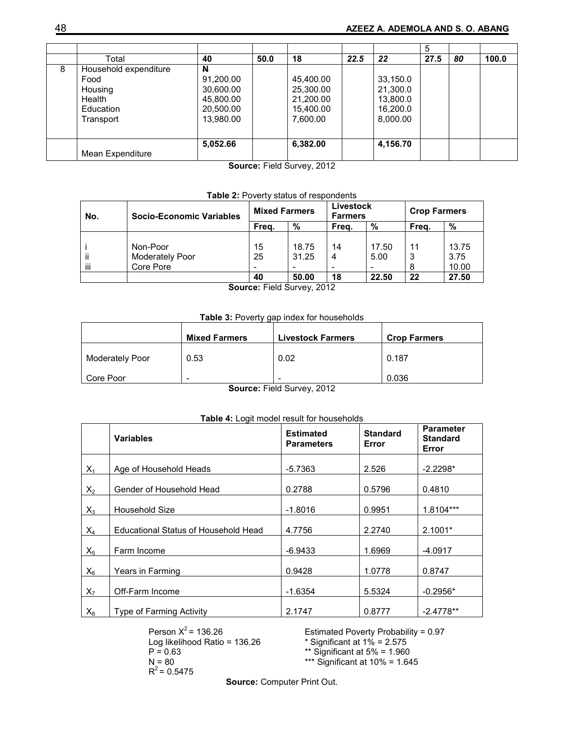|   |                                                                              |                                                                    |      |                                                              |      |                                                          | 5    |    |       |
|---|------------------------------------------------------------------------------|--------------------------------------------------------------------|------|--------------------------------------------------------------|------|----------------------------------------------------------|------|----|-------|
|   | Total                                                                        | 40                                                                 | 50.0 | 18                                                           | 22.5 | 22                                                       | 27.5 | 80 | 100.0 |
| 8 | Household expenditure<br>Food<br>Housing<br>Health<br>Education<br>Transport | N<br>91,200.00<br>30,600.00<br>45,800.00<br>20,500.00<br>13,980.00 |      | 45,400.00<br>25,300.00<br>21,200.00<br>15,400.00<br>7,600.00 |      | 33,150.0<br>21,300.0<br>13,800.0<br>16,200.0<br>8,000.00 |      |    |       |
|   | Mean Expenditure                                                             | 5,052.66                                                           |      | 6,382.00<br>$- - -$                                          |      | 4,156.70                                                 |      |    |       |

**Source:** Field Survey, 2012

# **Table 2:** Poverty status of respondents

| No. | <b>Socio-Economic Variables</b> | <b>Mixed Farmers</b>     |       | Livestock<br><b>Farmers</b> |       | <b>Crop Farmers</b> |       |
|-----|---------------------------------|--------------------------|-------|-----------------------------|-------|---------------------|-------|
|     |                                 | Frea.                    | %     | Frea.                       | %     | Frea.               | %     |
|     |                                 |                          |       |                             |       |                     |       |
|     | Non-Poor                        | 15                       | 18.75 | 14                          | 17.50 | 11                  | 13.75 |
| ĨÌ  | Moderately Poor                 | 25                       | 31.25 | 4                           | 5.00  | 3                   | 3.75  |
| Ϊİ  | Core Pore                       | $\overline{\phantom{0}}$ |       | $\overline{\phantom{0}}$    |       | 8                   | 10.00 |
|     |                                 | 40                       | 50.00 | 18                          | 22.50 | 22                  | 27.50 |

**Source:** Field Survey, 2012

## **Table 3:** Poverty gap index for households

|                 | <b>Mixed Farmers</b>               | <b>Livestock Farmers</b>                     | <b>Crop Farmers</b> |
|-----------------|------------------------------------|----------------------------------------------|---------------------|
| Moderately Poor | 0.53                               | 0.02                                         | 0.187               |
| Core Poor       | $\overline{\phantom{0}}$<br>$\sim$ | $\overline{\phantom{0}}$<br>_____<br>- - - - | 0.036               |

**Source:** Field Survey, 2012

## **Table 4:** Logit model result for households

|       | <b>Variables</b>                     | <b>Estimated</b><br><b>Parameters</b> | <b>Standard</b><br>Error | <b>Parameter</b><br><b>Standard</b><br>Error |
|-------|--------------------------------------|---------------------------------------|--------------------------|----------------------------------------------|
| $X_1$ | Age of Household Heads               | $-5.7363$                             | 2.526                    | $-2.2298*$                                   |
| $X_2$ | Gender of Household Head             | 0.2788                                | 0.5796                   | 0.4810                                       |
| $X_3$ | <b>Household Size</b>                | $-1.8016$                             | 0.9951                   | 1.8104***                                    |
| $X_4$ | Educational Status of Household Head | 4.7756                                | 2.2740                   | $2.1001*$                                    |
| $X_5$ | Farm Income                          | $-6.9433$                             | 1.6969                   | $-4.0917$                                    |
| $X_6$ | Years in Farming                     | 0.9428                                | 1.0778                   | 0.8747                                       |
| $X_7$ | Off-Farm Income                      | $-1.6354$                             | 5.5324                   | $-0.2956*$                                   |
| $X_8$ | <b>Type of Farming Activity</b>      | 2.1747                                | 0.8777                   | $-2.4778**$                                  |

Person  $X^2$  = 136.26 Estimated Poverty Probability = 0.97<br>
Log likelihood Ratio = 136.26  $*$  Significant at 1% = 2.575 Log likelihood Ratio = 136.26<br> $P = 0.63$  $P = 0.63$ <br>  $N = 80$ <br>  $N = 80$ <br>  $N = 1.64$ <br>  $N = 80$ <br>  $N = 1.64$  $R^2$  = 0.5475

\*\*\* Significant at  $10\% = 1.645$ 

**Source:** Computer Print Out.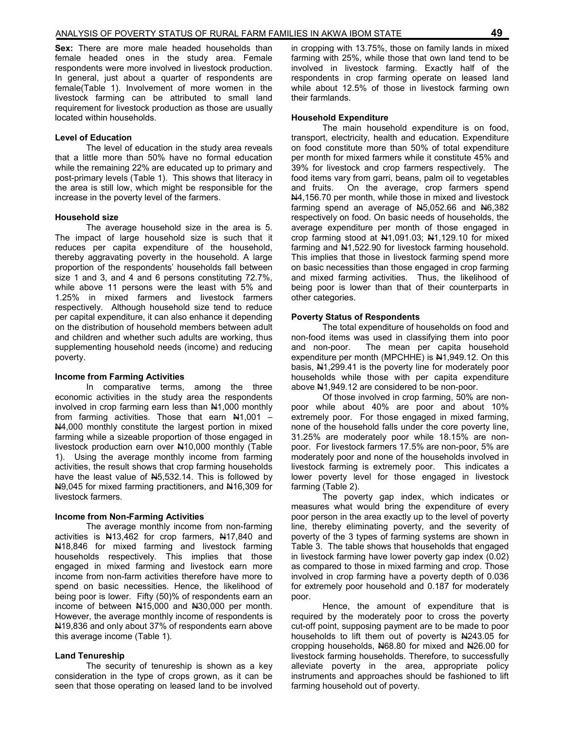**Sex:** There are more male headed households than female headed ones in the study area. Female respondents were more involved in livestock production. In general, just about a quarter of respondents are female(Table 1). Involvement of more women in the livestock farming can be attributed to small land requirement for livestock production as those are usually located within households.

#### **Level of Education**

 The level of education in the study area reveals that a little more than 50% have no formal education while the remaining 22% are educated up to primary and post-primary levels (Table 1). This shows that literacy in the area is still low, which might be responsible for the increase in the poverty level of the farmers.

### **Household size**

The average household size in the area is 5. The impact of large household size is such that it reduces per capita expenditure of the household, thereby aggravating poverty in the household. A large proportion of the respondents' households fall between size 1 and 3, and 4 and 6 persons constituting 72.7%, while above 11 persons were the least with 5% and 1.25% in mixed farmers and livestock farmers respectively. Although household size tend to reduce per capital expenditure, it can also enhance it depending on the distribution of household members between adult and children and whether such adults are working, thus supplementing household needs (income) and reducing poverty.

### **Income from Farming Activities**

In comparative terms, among the three economic activities in the study area the respondents involved in crop farming earn less than N1,000 monthly from farming activities. Those that earn  $N1,001$  – N4,000 monthly constitute the largest portion in mixed farming while a sizeable proportion of those engaged in livestock production earn over N10,000 monthly (Table 1). Using the average monthly income from farming activities, the result shows that crop farming households have the least value of N5,532.14. This is followed by N9,045 for mixed farming practitioners, and N16,309 for livestock farmers.

### **Income from Non-Farming Activities**

 The average monthly income from non-farming activities is N13,462 for crop farmers, N17,840 and N<sub>18</sub>,846 for mixed farming and livestock farming households respectively. This implies that those engaged in mixed farming and livestock earn more income from non-farm activities therefore have more to spend on basic necessities. Hence, the likelihood of being poor is lower. Fifty (50)% of respondents earn an income of between  $\frac{1415,000}{1}$  and  $\frac{1430,000}{1}$  per month. However, the average monthly income of respondents is N19,836 and only about 37% of respondents earn above this average income (Table 1).

### **Land Tenureship**

 The security of tenureship is shown as a key consideration in the type of crops grown, as it can be seen that those operating on leased land to be involved in cropping with 13.75%, those on family lands in mixed farming with 25%, while those that own land tend to be involved in livestock farming. Exactly half of the respondents in crop farming operate on leased land while about 12.5% of those in livestock farming own their farmlands.

#### **Household Expenditure**

 The main household expenditure is on food, transport, electricity, health and education. Expenditure on food constitute more than 50% of total expenditure per month for mixed farmers while it constitute 45% and 39% for livestock and crop farmers respectively. The food items vary from garri, beans, palm oil to vegetables and fruits. On the average, crop farmers spend N4,156.70 per month, while those in mixed and livestock farming spend an average of  $\mu$ 5,052.66 and  $\mu$ 6,382 respectively on food. On basic needs of households, the average expenditure per month of those engaged in crop farming stood at N1,091.03; N1,129.10 for mixed farming and  $\frac{141}{522.90}$  for livestock farming household. This implies that those in livestock farming spend more on basic necessities than those engaged in crop farming and mixed farming activities. Thus, the likelihood of being poor is lower than that of their counterparts in other categories.

#### **Poverty Status of Respondents**

 The total expenditure of households on food and non-food items was used in classifying them into poor and non-poor. The mean per capita household expenditure per month (MPCHHE) is N1,949.12. On this basis, N1,299.41 is the poverty line for moderately poor households while those with per capita expenditure above N1,949.12 are considered to be non-poor.

 Of those involved in crop farming, 50% are nonpoor while about 40% are poor and about 10% extremely poor. For those engaged in mixed farming, none of the household falls under the core poverty line, 31.25% are moderately poor while 18.15% are nonpoor. For livestock farmers 17.5% are non-poor, 5% are moderately poor and none of the households involved in livestock farming is extremely poor. This indicates a lower poverty level for those engaged in livestock farming (Table 2).

 The poverty gap index, which indicates or measures what would bring the expenditure of every poor person in the area exactly up to the level of poverty line, thereby eliminating poverty, and the severity of poverty of the 3 types of farming systems are shown in Table 3. The table shows that households that engaged in livestock farming have lower poverty gap index (0.02) as compared to those in mixed farming and crop. Those involved in crop farming have a poverty depth of 0.036 for extremely poor household and 0.187 for moderately poor.

 Hence, the amount of expenditure that is required by the moderately poor to cross the poverty cut-off point, supposing payment are to be made to poor households to lift them out of poverty is  $\frac{1243.05}{1000}$  for cropping households, N68.80 for mixed and N26.00 for livestock farming households. Therefore, to successfully alleviate poverty in the area, appropriate policy instruments and approaches should be fashioned to lift farming household out of poverty.